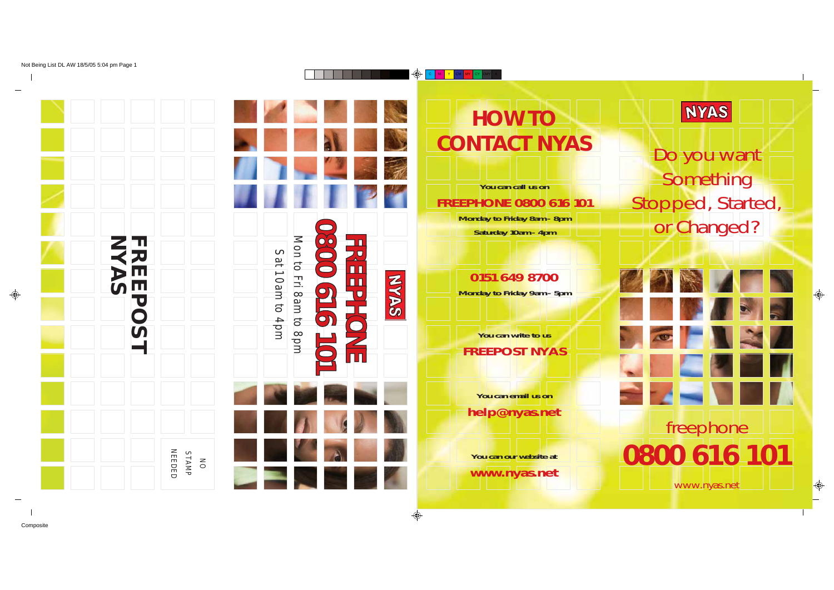

# **HOW TO CONTACT NYAS**

**You can call us on FREEPHONE 0800 616 101 Monday to Friday 8am - 8pm Saturday 10am - 4pm**

> **0151 649 8700 Monday to Friday 9am - 5pm**

**You can write to us FREEPOST NYAS**

**You can email us on help@nyas.net**

**You can our website at www.nyas.net**



freephone **0800 616 101**

www.nyas.net